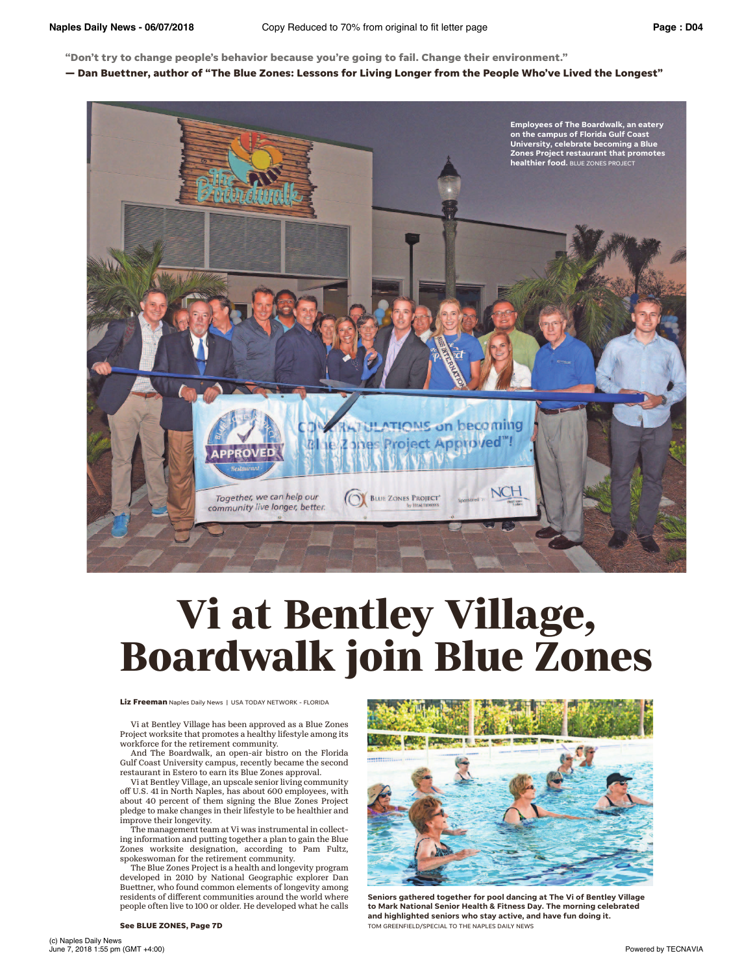**"Don't try to change people's behavior because you're going to fail. Change their environment."**

**— Dan Buettner, author of "The Blue Zones: Lessons for Living Longer from the People Who've Lived the Longest"**



## **Vi at Bentley Village, Boardwalk join Blue Zones**

**Liz Freeman** Naples Daily News | USA TODAY NETWORK - FLORIDA

Vi at Bentley Village has been approved as a Blue Zones Project worksite that promotes a healthy lifestyle among its workforce for the retirement community.

And The Boardwalk, an open-air bistro on the Florida Gulf Coast University campus, recently became the second restaurant in Estero to earn its Blue Zones approval.

Vi at Bentley Village, an upscale senior living community off U.S. 41 in North Naples, has about 600 employees, with about 40 percent of them signing the Blue Zones Project pledge to make changes in their lifestyle to be healthier and improve their longevity.

The management team at Vi was instrumental in collecting information and putting together a plan to gain the Blue Zones worksite designation, according to Pam Fultz, spokeswoman for the retirement community.

The Blue Zones Project is a health and longevity program developed in 2010 by National Geographic explorer Dan Buettner, who found common elements of longevity among residents of diferent communities around the world where people often live to 100 or older. He developed what he calls



**Seniors gathered together for pool dancing at The Vi of Bentley Village to Mark National Senior Health & Fitness Day. The morning celebrated and highlighted seniors who stay active, and have fun doing it. See BLUE ZONES, Page 7D** TOM GREENFIELD/SPECIAL TO THE NAPLES DAILY NEWS